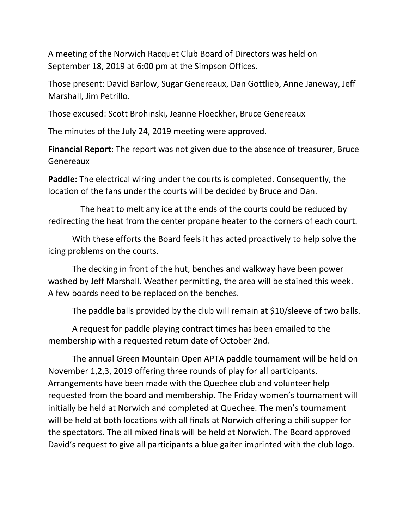A meeting of the Norwich Racquet Club Board of Directors was held on September 18, 2019 at 6:00 pm at the Simpson Offices.

Those present: David Barlow, Sugar Genereaux, Dan Gottlieb, Anne Janeway, Jeff Marshall, Jim Petrillo.

Those excused: Scott Brohinski, Jeanne Floeckher, Bruce Genereaux

The minutes of the July 24, 2019 meeting were approved.

**Financial Report**: The report was not given due to the absence of treasurer, Bruce Genereaux

**Paddle:** The electrical wiring under the courts is completed. Consequently, the location of the fans under the courts will be decided by Bruce and Dan.

 The heat to melt any ice at the ends of the courts could be reduced by redirecting the heat from the center propane heater to the corners of each court.

With these efforts the Board feels it has acted proactively to help solve the icing problems on the courts.

The decking in front of the hut, benches and walkway have been power washed by Jeff Marshall. Weather permitting, the area will be stained this week. A few boards need to be replaced on the benches.

The paddle balls provided by the club will remain at \$10/sleeve of two balls.

A request for paddle playing contract times has been emailed to the membership with a requested return date of October 2nd.

The annual Green Mountain Open APTA paddle tournament will be held on November 1,2,3, 2019 offering three rounds of play for all participants. Arrangements have been made with the Quechee club and volunteer help requested from the board and membership. The Friday women's tournament will initially be held at Norwich and completed at Quechee. The men's tournament will be held at both locations with all finals at Norwich offering a chili supper for the spectators. The all mixed finals will be held at Norwich. The Board approved David's request to give all participants a blue gaiter imprinted with the club logo.